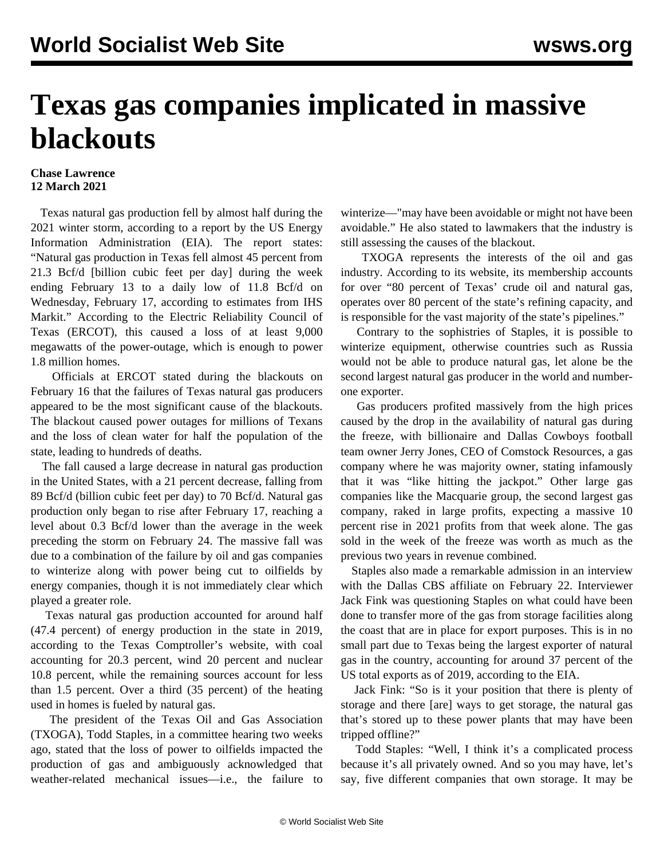## **Texas gas companies implicated in massive blackouts**

## **Chase Lawrence 12 March 2021**

 Texas natural gas production fell by almost half during the 2021 winter storm, according to a report by the US Energy Information Administration (EIA). The report states: "Natural gas production in Texas fell almost 45 percent from 21.3 Bcf/d [billion cubic feet per day] during the week ending February 13 to a daily low of 11.8 Bcf/d on Wednesday, February 17, according to estimates from IHS Markit." According to the Electric Reliability Council of Texas (ERCOT), this caused a loss of at least 9,000 megawatts of the power-outage, which is enough to power 1.8 million homes.

 Officials at ERCOT stated during the blackouts on February 16 that the failures of Texas natural gas producers appeared to be the most significant cause of the blackouts. The blackout caused power outages for millions of Texans and the loss of clean water for half the population of the state, leading to hundreds of deaths.

 The fall caused a large decrease in natural gas production in the United States, with a 21 percent decrease, falling from 89 Bcf/d (billion cubic feet per day) to 70 Bcf/d. Natural gas production only began to rise after February 17, reaching a level about 0.3 Bcf/d lower than the average in the week preceding the storm on February 24. The massive fall was due to a combination of the failure by oil and gas companies to winterize along with power being cut to oilfields by energy companies, though it is not immediately clear which played a greater role.

 Texas natural gas production accounted for around half (47.4 percent) of energy production in the state in 2019, according to the Texas Comptroller's website, with coal accounting for 20.3 percent, wind 20 percent and nuclear 10.8 percent, while the remaining sources account for less than 1.5 percent. Over a third (35 percent) of the heating used in homes is fueled by natural gas.

 The president of the Texas Oil and Gas Association (TXOGA), Todd Staples, in a committee hearing two weeks ago, stated that the loss of power to oilfields impacted the production of gas and ambiguously acknowledged that weather-related mechanical issues—i.e., the failure to winterize—"may have been avoidable or might not have been avoidable." He also stated to lawmakers that the industry is still assessing the causes of the blackout.

 TXOGA represents the interests of the oil and gas industry. According to its website, its membership accounts for over "80 percent of Texas' crude oil and natural gas, operates over 80 percent of the state's refining capacity, and is responsible for the vast majority of the state's pipelines."

 Contrary to the sophistries of Staples, it is possible to winterize equipment, otherwise countries such as Russia would not be able to produce natural gas, let alone be the second largest natural gas producer in the world and numberone exporter.

 Gas producers profited massively from the high prices caused by the drop in the availability of natural gas during the freeze, with billionaire and Dallas Cowboys football team owner Jerry Jones, CEO of Comstock Resources, a gas company where he was majority owner, stating infamously that it was "like hitting the jackpot." Other large gas companies like the Macquarie group, the second largest gas company, raked in large profits, expecting a massive 10 percent rise in 2021 profits from that week alone. The gas sold in the week of the freeze was worth as much as the previous two years in revenue combined.

 Staples also made a remarkable admission in an interview with the Dallas CBS affiliate on February 22. Interviewer Jack Fink was questioning Staples on what could have been done to transfer more of the gas from storage facilities along the coast that are in place for export purposes. This is in no small part due to Texas being the largest exporter of natural gas in the country, accounting for around 37 percent of the US total exports as of 2019, according to the EIA.

 Jack Fink: "So is it your position that there is plenty of storage and there [are] ways to get storage, the natural gas that's stored up to these power plants that may have been tripped offline?"

 Todd Staples: "Well, I think it's a complicated process because it's all privately owned. And so you may have, let's say, five different companies that own storage. It may be